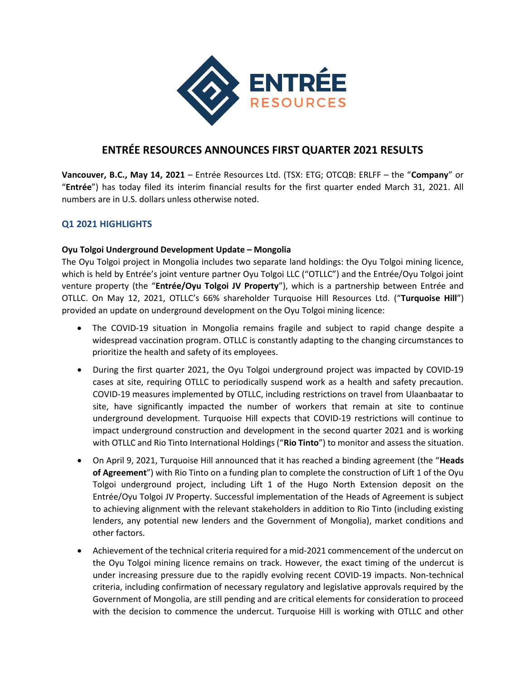

# ENTRÉE RESOURCES ANNOUNCES FIRST QUARTER 2021 RESULTS

Vancouver, B.C., May 14, 2021 – Entrée Resources Ltd. (TSX: ETG; OTCQB: ERLFF – the "Company" or "Entrée") has today filed its interim financial results for the first quarter ended March 31, 2021. All numbers are in U.S. dollars unless otherwise noted.

# Q1 2021 HIGHLIGHTS

### Oyu Tolgoi Underground Development Update – Mongolia

The Oyu Tolgoi project in Mongolia includes two separate land holdings: the Oyu Tolgoi mining licence, which is held by Entrée's joint venture partner Oyu Tolgoi LLC ("OTLLC") and the Entrée/Oyu Tolgoi joint venture property (the "Entrée/Oyu Tolgoi JV Property"), which is a partnership between Entrée and OTLLC. On May 12, 2021, OTLLC's 66% shareholder Turquoise Hill Resources Ltd. ("Turquoise Hill") provided an update on underground development on the Oyu Tolgoi mining licence:

- The COVID-19 situation in Mongolia remains fragile and subject to rapid change despite a widespread vaccination program. OTLLC is constantly adapting to the changing circumstances to prioritize the health and safety of its employees.
- During the first quarter 2021, the Oyu Tolgoi underground project was impacted by COVID-19 cases at site, requiring OTLLC to periodically suspend work as a health and safety precaution. COVID-19 measures implemented by OTLLC, including restrictions on travel from Ulaanbaatar to site, have significantly impacted the number of workers that remain at site to continue underground development. Turquoise Hill expects that COVID-19 restrictions will continue to impact underground construction and development in the second quarter 2021 and is working with OTLLC and Rio Tinto International Holdings ("Rio Tinto") to monitor and assess the situation.
- On April 9, 2021, Turquoise Hill announced that it has reached a binding agreement (the "Heads of Agreement") with Rio Tinto on a funding plan to complete the construction of Lift 1 of the Oyu Tolgoi underground project, including Lift 1 of the Hugo North Extension deposit on the Entrée/Oyu Tolgoi JV Property. Successful implementation of the Heads of Agreement is subject to achieving alignment with the relevant stakeholders in addition to Rio Tinto (including existing lenders, any potential new lenders and the Government of Mongolia), market conditions and other factors.
- Achievement of the technical criteria required for a mid-2021 commencement of the undercut on the Oyu Tolgoi mining licence remains on track. However, the exact timing of the undercut is under increasing pressure due to the rapidly evolving recent COVID-19 impacts. Non-technical criteria, including confirmation of necessary regulatory and legislative approvals required by the Government of Mongolia, are still pending and are critical elements for consideration to proceed with the decision to commence the undercut. Turquoise Hill is working with OTLLC and other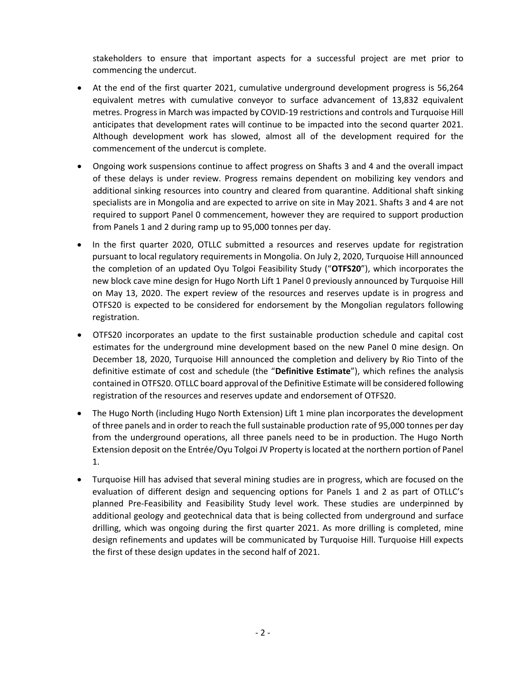stakeholders to ensure that important aspects for a successful project are met prior to commencing the undercut.

- At the end of the first quarter 2021, cumulative underground development progress is 56,264 equivalent metres with cumulative conveyor to surface advancement of 13,832 equivalent metres. Progress in March was impacted by COVID-19 restrictions and controls and Turquoise Hill anticipates that development rates will continue to be impacted into the second quarter 2021. Although development work has slowed, almost all of the development required for the commencement of the undercut is complete.
- Ongoing work suspensions continue to affect progress on Shafts 3 and 4 and the overall impact of these delays is under review. Progress remains dependent on mobilizing key vendors and additional sinking resources into country and cleared from quarantine. Additional shaft sinking specialists are in Mongolia and are expected to arrive on site in May 2021. Shafts 3 and 4 are not required to support Panel 0 commencement, however they are required to support production from Panels 1 and 2 during ramp up to 95,000 tonnes per day.
- In the first quarter 2020, OTLLC submitted a resources and reserves update for registration pursuant to local regulatory requirements in Mongolia. On July 2, 2020, Turquoise Hill announced the completion of an updated Oyu Tolgoi Feasibility Study ("OTFS20"), which incorporates the new block cave mine design for Hugo North Lift 1 Panel 0 previously announced by Turquoise Hill on May 13, 2020. The expert review of the resources and reserves update is in progress and OTFS20 is expected to be considered for endorsement by the Mongolian regulators following registration.
- OTFS20 incorporates an update to the first sustainable production schedule and capital cost estimates for the underground mine development based on the new Panel 0 mine design. On December 18, 2020, Turquoise Hill announced the completion and delivery by Rio Tinto of the definitive estimate of cost and schedule (the "Definitive Estimate"), which refines the analysis contained in OTFS20. OTLLC board approval of the Definitive Estimate will be considered following registration of the resources and reserves update and endorsement of OTFS20.
- The Hugo North (including Hugo North Extension) Lift 1 mine plan incorporates the development of three panels and in order to reach the full sustainable production rate of 95,000 tonnes per day from the underground operations, all three panels need to be in production. The Hugo North Extension deposit on the Entrée/Oyu Tolgoi JV Property is located at the northern portion of Panel 1.
- Turquoise Hill has advised that several mining studies are in progress, which are focused on the evaluation of different design and sequencing options for Panels 1 and 2 as part of OTLLC's planned Pre-Feasibility and Feasibility Study level work. These studies are underpinned by additional geology and geotechnical data that is being collected from underground and surface drilling, which was ongoing during the first quarter 2021. As more drilling is completed, mine design refinements and updates will be communicated by Turquoise Hill. Turquoise Hill expects the first of these design updates in the second half of 2021.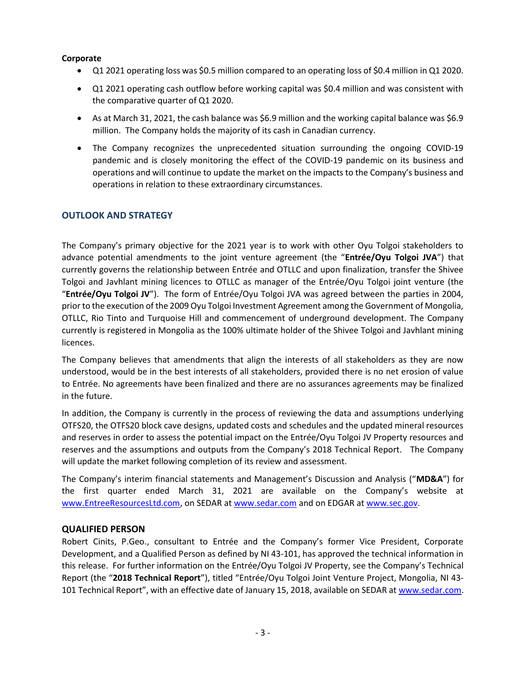#### Corporate

- Q1 2021 operating loss was \$0.5 million compared to an operating loss of \$0.4 million in Q1 2020.
- Q1 2021 operating cash outflow before working capital was \$0.4 million and was consistent with the comparative quarter of Q1 2020.
- As at March 31, 2021, the cash balance was \$6.9 million and the working capital balance was \$6.9 million. The Company holds the majority of its cash in Canadian currency.
- The Company recognizes the unprecedented situation surrounding the ongoing COVID-19 pandemic and is closely monitoring the effect of the COVID-19 pandemic on its business and operations and will continue to update the market on the impacts to the Company's business and operations in relation to these extraordinary circumstances.

# OUTLOOK AND STRATEGY

The Company's primary objective for the 2021 year is to work with other Oyu Tolgoi stakeholders to advance potential amendments to the joint venture agreement (the "Entrée/Oyu Tolgoi JVA") that currently governs the relationship between Entrée and OTLLC and upon finalization, transfer the Shivee Tolgoi and Javhlant mining licences to OTLLC as manager of the Entrée/Oyu Tolgoi joint venture (the "Entrée/Oyu Tolgoi JV"). The form of Entrée/Oyu Tolgoi JVA was agreed between the parties in 2004, prior to the execution of the 2009 Oyu Tolgoi Investment Agreement among the Government of Mongolia, OTLLC, Rio Tinto and Turquoise Hill and commencement of underground development. The Company currently is registered in Mongolia as the 100% ultimate holder of the Shivee Tolgoi and Javhlant mining licences.

The Company believes that amendments that align the interests of all stakeholders as they are now understood, would be in the best interests of all stakeholders, provided there is no net erosion of value to Entrée. No agreements have been finalized and there are no assurances agreements may be finalized in the future.

In addition, the Company is currently in the process of reviewing the data and assumptions underlying OTFS20, the OTFS20 block cave designs, updated costs and schedules and the updated mineral resources and reserves in order to assess the potential impact on the Entrée/Oyu Tolgoi JV Property resources and reserves and the assumptions and outputs from the Company's 2018 Technical Report. The Company will update the market following completion of its review and assessment.

The Company's interim financial statements and Management's Discussion and Analysis ("MD&A") for the first quarter ended March 31, 2021 are available on the Company's website at www.EntreeResourcesLtd.com, on SEDAR at www.sedar.com and on EDGAR at www.sec.gov.

# QUALIFIED PERSON

Robert Cinits, P.Geo., consultant to Entrée and the Company's former Vice President, Corporate Development, and a Qualified Person as defined by NI 43-101, has approved the technical information in this release. For further information on the Entrée/Oyu Tolgoi JV Property, see the Company's Technical Report (the "2018 Technical Report"), titled "Entrée/Oyu Tolgoi Joint Venture Project, Mongolia, NI 43- 101 Technical Report", with an effective date of January 15, 2018, available on SEDAR at www.sedar.com.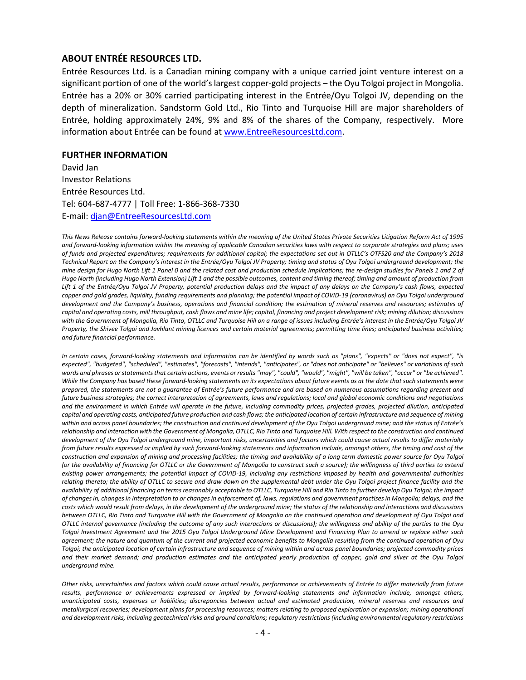### ABOUT ENTRÉE RESOURCES LTD.

Entrée Resources Ltd. is a Canadian mining company with a unique carried joint venture interest on a significant portion of one of the world's largest copper-gold projects – the Oyu Tolgoi project in Mongolia. Entrée has a 20% or 30% carried participating interest in the Entrée/Oyu Tolgoi JV, depending on the depth of mineralization. Sandstorm Gold Ltd., Rio Tinto and Turquoise Hill are major shareholders of Entrée, holding approximately 24%, 9% and 8% of the shares of the Company, respectively. More information about Entrée can be found at www.EntreeResourcesLtd.com.

#### FURTHER INFORMATION

David Jan Investor Relations Entrée Resources Ltd. Tel: 604-687-4777 | Toll Free: 1-866-368-7330 E-mail: djan@EntreeResourcesLtd.com

This News Release contains forward-looking statements within the meaning of the United States Private Securities Litigation Reform Act of 1995 and forward-looking information within the meaning of applicable Canadian securities laws with respect to corporate strategies and plans; uses of funds and projected expenditures; requirements for additional capital; the expectations set out in OTLLC's OTFS20 and the Company's 2018 Technical Report on the Company's interest in the Entrée/Oyu Tolgoi JV Property; timing and status of Oyu Tolgoi underground development; the mine design for Hugo North Lift 1 Panel 0 and the related cost and production schedule implications; the re-design studies for Panels 1 and 2 of Hugo North (including Hugo North Extension) Lift 1 and the possible outcomes, content and timing thereof; timing and amount of production from Lift 1 of the Entrée/Oyu Tolgoi JV Property, potential production delays and the impact of any delays on the Company's cash flows, expected copper and gold grades, liquidity, funding requirements and planning; the potential impact of COVID-19 (coronavirus) on Oyu Tolgoi underground development and the Company's business, operations and financial condition; the estimation of mineral reserves and resources; estimates of capital and operating costs, mill throughput, cash flows and mine life; capital, financing and project development risk; mining dilution; discussions with the Government of Mongolia, Rio Tinto, OTLLC and Turquoise Hill on a range of issues including Entrée's interest in the Entrée/Oyu Tolgoi JV Property, the Shivee Tolgoi and Javhlant mining licences and certain material agreements; permitting time lines; anticipated business activities; and future financial performance.

In certain cases, forward-looking statements and information can be identified by words such as "plans", "expects" or "does not expect", "is expected", "budgeted", "scheduled", "estimates", "forecasts", "intends", "anticipates", or "does not anticipate" or "believes" or variations of such words and phrases or statements that certain actions, events or results "may", "could", "would", "might", "will be taken", "occur" or "be achieved". While the Company has based these forward-looking statements on its expectations about future events as at the date that such statements were prepared, the statements are not a guarantee of Entrée's future performance and are based on numerous assumptions regarding present and future business strategies; the correct interpretation of agreements, laws and regulations; local and global economic conditions and negotiations and the environment in which Entrée will operate in the future, including commodity prices, projected grades, projected dilution, anticipated capital and operating costs, anticipated future production and cash flows; the anticipated location of certain infrastructure and sequence of mining within and across panel boundaries; the construction and continued development of the Oyu Tolgoi underground mine; and the status of Entrée's relationship and interaction with the Government of Mongolia, OTLLC, Rio Tinto and Turquoise Hill. With respect to the construction and continued development of the Oyu Tolgoi underground mine, important risks, uncertainties and factors which could cause actual results to differ materially from future results expressed or implied by such forward-looking statements and information include, amongst others, the timing and cost of the construction and expansion of mining and processing facilities; the timing and availability of a long term domestic power source for Oyu Tolgoi (or the availability of financing for OTLLC or the Government of Mongolia to construct such a source); the willingness of third parties to extend existing power arrangements; the potential impact of COVID-19, including any restrictions imposed by health and governmental authorities relating thereto; the ability of OTLLC to secure and draw down on the supplemental debt under the Oyu Tolgoi project finance facility and the availability of additional financing on terms reasonably acceptable to OTLLC, Turquoise Hill and Rio Tinto to further develop Oyu Tolgoi; the impact of changes in, changes in interpretation to or changes in enforcement of, laws, regulations and government practises in Mongolia; delays, and the costs which would result from delays, in the development of the underground mine; the status of the relationship and interactions and discussions between OTLLC, Rio Tinto and Turquoise Hill with the Government of Mongolia on the continued operation and development of Oyu Tolgoi and OTLLC internal governance (including the outcome of any such interactions or discussions); the willingness and ability of the parties to the Oyu Tolgoi Investment Agreement and the 2015 Oyu Tolgoi Underground Mine Development and Financing Plan to amend or replace either such agreement; the nature and quantum of the current and projected economic benefits to Mongolia resulting from the continued operation of Oyu Tolgoi; the anticipated location of certain infrastructure and sequence of mining within and across panel boundaries; projected commodity prices and their market demand; and production estimates and the anticipated yearly production of copper, gold and silver at the Oyu Tolgoi underground mine.

Other risks, uncertainties and factors which could cause actual results, performance or achievements of Entrée to differ materially from future results, performance or achievements expressed or implied by forward-looking statements and information include, amongst others, unanticipated costs, expenses or liabilities; discrepancies between actual and estimated production, mineral reserves and resources and metallurgical recoveries; development plans for processing resources; matters relating to proposed exploration or expansion; mining operational and development risks, including geotechnical risks and ground conditions; regulatory restrictions (including environmental regulatory restrictions